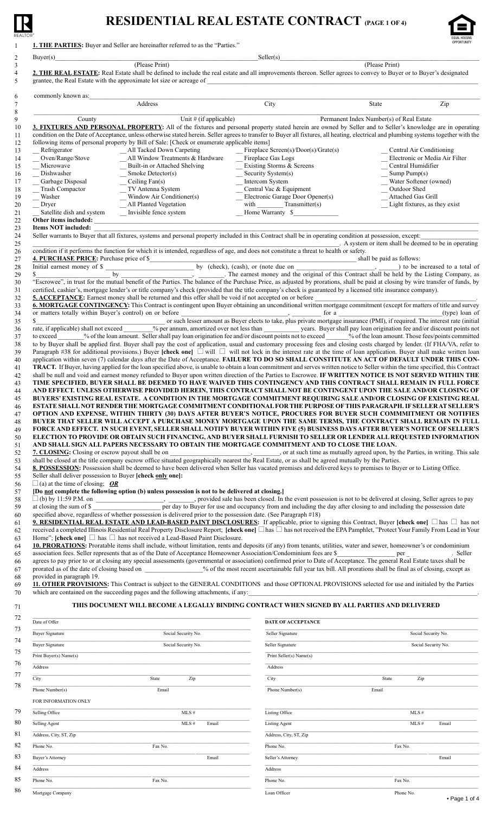## **RESIDENTIAL REAL ESTATE CONTRACT (PAGE 1 OF 4)**

2. THE REAL ESTATE: Real Estate shall be defined to include the real estate and all improvements thereon. Seller agrees to convey to Buyer or to Buyer's designated

Address City City State Zip

commonly known as:\_\_\_\_\_\_\_\_\_\_\_\_\_\_\_\_\_\_\_\_\_\_\_\_\_\_\_\_\_\_\_\_\_\_\_\_\_\_\_\_\_\_\_\_\_\_\_\_\_\_\_\_\_\_\_\_\_\_\_\_\_\_\_\_\_\_\_\_\_\_\_\_\_\_\_\_\_\_\_\_\_\_\_\_\_\_\_\_\_\_\_\_\_\_\_\_\_\_\_\_\_\_\_\_\_\_\_\_\_\_\_\_\_\_\_\_\_\_\_\_\_

(Please Print) (Please Print)

**1. THE PARTIES:** Buyer and Seller are hereinafter referred to as the "Parties."

grantee, the Real Estate with the approximate lot size or acreage of \_



Buyer(s)\_\_\_\_\_\_\_\_\_\_\_\_\_\_\_\_\_\_\_\_\_\_\_\_\_\_\_\_\_\_\_\_\_\_\_\_\_\_\_\_\_\_\_\_\_\_\_\_\_\_\_\_\_\_\_\_\_\_\_\_\_\_\_Seller(s)\_\_\_\_\_\_\_\_\_\_\_\_\_\_\_\_\_\_\_\_\_\_\_\_\_\_\_\_\_\_\_\_\_\_\_\_\_\_\_\_\_\_\_\_\_\_\_\_\_\_\_\_\_\_\_\_\_\_\_\_\_\_

 County Unit # (if applicable) Permanent Index Number(s) of Real Estate **3. FIXTURES AND PERSONAL PROPERTY:** All of the fixtures and personal property stated herein are owned by Seller and to Seller's knowledge are in operating condition on the Date of Acceptance, unless otherwise stated herein. Seller agrees to transfer to Buyer all fixtures, all heating, electrical and plumbing systems together with the following items of personal property by Bill of Sale: [Check or enumerate applicable items] Refrigerator \_\_ All Tacked Down Carpeting \_\_ Fireplace Screen(s)/Door(s)/Grate(s) \_\_ Central Air Conditioning <br>Oven/Range/Stove \_\_ All Window Treatments & Hardware Fireplace Gas Logs \_\_ Electronic or Media Air Filter \_\_ Oven/Range/Stove \_\_ All Window Treatments & Hardware \_\_ Fireplace Gas Logs \_\_ Electronic or Media Air Filter Built-in or Attached Shelving Dishwasher \_\_\_ Smoke Detector(s) \_\_\_ Security System(s) \_\_\_ Sump Pump(s) \_\_\_ Sump Pump(s) \_\_\_ Geiling Fan(s) \_\_\_ Sump Pump(s) \_\_\_ Sump Pump(s) Garbage Disposal  $\overline{\phantom{a}}$  Ceiling Fan(s)  $\overline{\phantom{a}}$  Intercom System  $\overline{\phantom{a}}$  Intercom System  $\overline{\phantom{a}}$  Central Vac & Equipment  $\overline{\phantom{a}}$  Outdoor Shed  $\overline{\phantom{a}}$  Outdoor Shed \_\_ Trash Compactor \_\_ TV Antenna System \_\_ Central Vac & Equipment \_\_ Outdoor Shed Washer  $\qquad -$  Window Air Conditioner(s)  $\qquad -$  Electronic Garage Door Opener(s)  $\qquad -$  All Planted Vegetation  $\qquad \qquad$  with Transmitter(s) All Planted Vegetation with Transmitter(s) Light fixtures, as they exist<br>Invisible fence system Home Warranty \$ Satellite dish and system  $\overline{\text{Other items included}}:$ Items NOT included: Seller warrants to Buyer that all fixtures, systems and personal property included in this Contract shall be in operating condition at possession, except: A system or item shall be deemed to be in operating condition if it performs the function for which it is intended, regardless of age, and does not constitute a threat to health or safety.<br>4. PURCHASE PRICE: Purchase price of \$ **4. PURCHASE PRICE:** Purchase price of \$ Initial earnest money of \$  $\mathcal{S}$  by  $\Box$  by  $\Box$  The earnest money and the original of this Contract shall be held by the Listing Company, as "Escrowee", in trust for the mutual benefit of the Parties. The balance of the Purchase Price, as adjusted by prorations, shall be paid at closing by wire transfer of funds, by certified, cashier's, mortgage lender's or title company's check (provided that the title company's check is guaranteed by a licensed title insurance company). 5. ACCEPTANCE: Earnest money shall be returned and this offer shall be void if not accepted on or before **6. MORTGAGE CONTINGENCY:** This Contract is contingent upon Buyer obtaining an unconditional written mortgage commitment (except for matters of title and survey or matters totally within Buyer's control) on or before \_\_\_\_\_\_\_\_\_\_\_\_\_\_\_\_\_\_\_\_\_\_\_\_\_\_\_\_\_\_\_\_\_, \_\_\_\_\_\_\_\_\_ for a \_\_\_\_\_\_\_\_\_\_\_\_\_\_\_\_\_\_\_\_\_\_\_\_\_\_\_\_\_\_\_\_(type) loan of S<br>
or such lesser amount as Buyer elects to take, plus private mortgage insurance (PMI), if required. The interest rate (initial<br>
years. Buyer shall pay loan origination fee and/or discount points not gears. Buyer shall pay loan origination fee and/or discount points not to exceed  $\frac{9}{6}$  of the loan amount. Those fees/points committed to exceed \_\_\_\_\_\_\_% of the loan amount. Seller shall pay loan origination fee and/or discount points not to exceed to by Buyer shall be applied first. Buyer shall pay the cost of application, usual and customary processing fees and closing costs charged by lender. (If FHA/VA, refer to Paragraph #38 for additional provisions.) Buyer **[check one]** □ will □ will not lock in the interest rate at the time of loan application. Buyer shall make written loan application within seven (7) calendar days after the Date of Acceptance. **FAILURE TO DO SO SHALL CONSTITUTE AN ACT OF DEFAULT UNDER THIS CON-TRACT.** If Buyer, having applied for the loan specified above, is unable to obtain a loan commitment and serves written notice to Seller within the time specified, this Contract shall be null and void and earnest money refunded to Buyer upon written direction of the Parties to Escrowee. **IF WRITTEN NOTICE IS NOT SERVED WITHIN THE TIME SPECIFIED, BUYER SHALL BE DEEMED TO HAVE WAIVED THIS CONTINGENCY AND THIS CONTRACT SHALL REMAIN IN FULL FORCE AND EFFECT. UNLESS OTHERWISE PROVIDED HEREIN, THIS CONTRACT SHALL NOT BE CONTINGENT UPON THE SALE AND/OR CLOSING OF BUYERS' EXISTING REAL ESTATE. A CONDITION IN THE MORTGAGE COMMITMENT REQUIRING SALE AND/OR CLOSING OF EXISTING REAL ESTATE SHALL NOT RENDER THE MORTGAGE COMMITMENT CONDITIONAL FOR THE PURPOSE OFTHIS PARAGRAPH. IF SELLER AT SELLER'S OPTION AND EXPENSE, WITHIN THIRTY (30) DAYS AFTER BUYER'S NOTICE, PROCURES FOR BUYER SUCH COMMMITMENT OR NOTIFIES BUYER THAT SELLER WILL ACCEPT A PURCHASE MONEY MORTGAGE UPON THE SAME TERMS, THE CONTRACT SHALL REMAIN IN FULL FORCE AND EFFECT. IN SUCH EVENT, SELLER SHALL NOTIFY BUYER WITHIN FIVE (5) BUSINESS DAYS AFTER BUYER'S NOTICE OF SELLER'S ELECTION TO PROVIDE OR OBTAIN SUCH FINANCING, AND BUYER SHALL FURNISH TO SELLER OR LENDER ALL REQUESTED INFORMATION** AND SHALL SIGN ALL PAPERS NECESSARY TO OBTAIN THE MORTGAGE COMMITMENT AND TO CLOSE THE LOAN.<br>7. CLOSING: Closing or escrow payout shall be on \_\_\_\_\_\_\_\_\_\_\_\_\_\_\_\_\_\_\_\_\_\_\_\_\_\_\_\_\_\_, or at such time as mutually agreed upon, by or at such time as mutually agreed upon, by the Parties, in writing. This sale shall be closed at the title company escrow office situated geographically nearest the Real Estate, or as shall be agreed mutually by the Parties. 8. POSSESSION: Possession shall be deemed to have been delivered when Seller has vacated premises and delivered keys to premises to Buyer or to Listing Office. Seller shall deliver possession to Buyer **[check only one]:**  $\Box$  (a) at the time of closing; *OR* **[Do not complete the following option (b) unless possession is not to be delivered at closing.]**  $\Box$  (b) by 11:59 P.M. on \_\_\_\_\_\_\_\_\_\_\_\_\_\_\_, provided sale has been closed. In the event possession is not to be delivered at closing, Seller agrees to pay at closing the sum of \$  $\frac{1}{\sqrt{2}}$  per day to Buyer for use and occupancy from and including the day after closing to and including the possession date specified above, regardless of whether possession is delivered prior to the possession date. (See Paragraph #18) **9. RESIDENTIAL REAL ESTATE AND LEAD-BASED PAINT DISCLOSURES:** If applicable, prior to signing this Contract, Buyer **[check one]** □ has □ has not received a completed Illinois Residential Real Property Disclosure Report; **[check one]** □has □ has not received the EPA Pamphlet, "Protect Your Family From Lead in Your Home";  $[check one]$   $\Box$  has  $\Box$  has not received a Lead-Based Paint Disclosure. **10. PRORATIONS:** Proratable items shall include, without limitation, rents and deposits (if any) from tenants, utilities, water and sewer, homeowner's or condominium association fees. Seller represents that as of the Date of Acceptance Homeowner Association/Condominium fees are \$\_\_\_\_\_\_\_\_\_\_\_\_\_\_\_\_\_\_ per \_ agrees to pay prior to or at closing any special assessments (governmental or association) confirmed prior to Date of Acceptance. The general Real Estate taxes shall be prorated as of the date of closing based on \_\_\_\_\_\_\_\_\_\_\_\_\_% of the most recent ascertainable full year tax bill. All prorations shall be final as of closing, except as provided in paragraph 19. **11. OTHER PROVISIONS:** This Contract is subject to the GENERAL CONDITIONS and those OPTIONAL PROVISIONS selected for use and initialed by the Parties which are contained on the succeeding pages and the following attachments, if any: **THIS DOCUMENT WILL BECOME A LEGALLY BINDING CONTRACT WHEN SIGNED BY ALL PARTIES AND DELIVERED**  $\_$  , and the state of the state of the state of the state of the state of the state of the state of the state of the state of the state of the state of the state of the state of the state of the state of the state of the **DATE OF ACCEPTANCE**  $\_$  ,  $\_$  ,  $\_$  ,  $\_$  ,  $\_$  ,  $\_$  ,  $\_$  ,  $\_$  ,  $\_$  ,  $\_$  ,  $\_$  ,  $\_$  ,  $\_$  ,  $\_$  ,  $\_$  ,  $\_$  ,  $\_$  ,  $\_$  ,  $\_$  ,  $\_$  ,  $\_$  ,  $\_$  ,  $\_$  ,  $\_$  ,  $\_$  ,  $\_$  ,  $\_$  ,  $\_$  ,  $\_$  ,  $\_$  ,  $\_$  ,  $\_$  ,  $\_$  ,  $\_$  ,  $\_$  ,  $\_$  ,  $\_$  , Buyer Signature Social Security No. Social Security No. Seller Signature Seller Signature Security No.  $\_$  , and the state of the state of the state of the state of the state of the state of the state of the state of the state of the state of the state of the state of the state of the state of the state of the state of the Buyer Signature Social Security No. Security No. Seller Signature Seller Signature Security No. Security No.  $\_$  , and the state of the state of the state of the state of the state of the state of the state of the state of the state of the state of the state of the state of the state of the state of the state of the state of the Print Buyer(s) Name(s) Print Seller(s) Name(s)  $\_$  ,  $\_$  ,  $\_$  ,  $\_$  ,  $\_$  ,  $\_$  ,  $\_$  ,  $\_$  ,  $\_$  ,  $\_$  ,  $\_$  ,  $\_$  ,  $\_$  ,  $\_$  ,  $\_$  ,  $\_$  ,  $\_$  ,  $\_$  ,  $\_$  ,  $\_$  ,  $\_$  ,  $\_$  ,  $\_$  ,  $\_$  ,  $\_$  ,  $\_$  ,  $\_$  ,  $\_$  ,  $\_$  ,  $\_$  ,  $\_$  ,  $\_$  ,  $\_$  ,  $\_$  ,  $\_$  ,  $\_$  ,  $\_$  , Address Address  $\_$  , and the state of the state of the state of the state of the state of the state of the state of the state of the state of the state of the state of the state of the state of the state of the state of the state of the City State Zip City State Zip  $\_$  , and the state of the state of the state of the state of the state of the state of the state of the state of the state of the state of the state of the state of the state of the state of the state of the state of the Phone Number(s) Email Email Email Phone Number(s) Email Email FOR INFORMATION ONLY  $\_$  , and the state of the state of the state of the state of the state of the state of the state of the state of the state of the state of the state of the state of the state of the state of the state of the state of the Selling Office MLS + MLS + MLS + Listing Office Listing Office MLS + MLS +  $\sim$  MLS +  $\sim$  MLS +  $\sim$  MLS +  $\sim$  MLS +  $\sim$  MLS +  $\sim$  MLS +  $\sim$  MLS +  $\sim$  MLS +  $\sim$  MLS +  $\sim$  MLS +  $\sim$   $\sim$   $\sim$   $\sim$   $\sim$   $\sim$   $\sim$   $\$  $\_$  , and the state of the state of the state of the state of the state of the state of the state of the state of the state of the state of the state of the state of the state of the state of the state of the state of the Selling Agent 1988 MLS # Email Clisting Agent Listing Agent 1998 MLS # Email Clisting Agent 1998 MLS # Email  $\_$  ,  $\_$  ,  $\_$  ,  $\_$  ,  $\_$  ,  $\_$  ,  $\_$  ,  $\_$  ,  $\_$  ,  $\_$  ,  $\_$  ,  $\_$  ,  $\_$  ,  $\_$  ,  $\_$  ,  $\_$  ,  $\_$  ,  $\_$  ,  $\_$  ,  $\_$  ,  $\_$  ,  $\_$  ,  $\_$  ,  $\_$  ,  $\_$  ,  $\_$  ,  $\_$  ,  $\_$  ,  $\_$  ,  $\_$  ,  $\_$  ,  $\_$  ,  $\_$  ,  $\_$  ,  $\_$  ,  $\_$  ,  $\_$  , Address, City, ST, Zip Address, City, ST, Zip  $\_$  , and the state of the state of the state of the state of the state of the state of the state of the state of the state of the state of the state of the state of the state of the state of the state of the state of the 29

Phone No. Fax No. Fax No. Fax No. Fax No. Fax No. Phone No. Fax No.

Phone No. Fax No. Fax No. Fax No. Fax No. Fax No. Phone No. Fax No.

Address Address

 $\_$  , and the state of the state of the state of the state of the state of the state of the state of the state of the state of the state of the state of the state of the state of the state of the state of the state of the Buyer's Attorney **Email** Email Seller's Attorney **Email** Seller's Attorney Seller's Attorney Email  $\_$  ,  $\_$  ,  $\_$  ,  $\_$  ,  $\_$  ,  $\_$  ,  $\_$  ,  $\_$  ,  $\_$  ,  $\_$  ,  $\_$  ,  $\_$  ,  $\_$  ,  $\_$  ,  $\_$  ,  $\_$  ,  $\_$  ,  $\_$  ,  $\_$  ,  $\_$  ,  $\_$  ,  $\_$  ,  $\_$  ,  $\_$  ,  $\_$  ,  $\_$  ,  $\_$  ,  $\_$  ,  $\_$  ,  $\_$  ,  $\_$  ,  $\_$  ,  $\_$  ,  $\_$  ,  $\_$  ,  $\_$  ,  $\_$  ,

 $\_$  , and the state of the state of the state of the state of the state of the state of the state of the state of the state of the state of the state of the state of the state of the state of the state of the state of the

## $\_$  , and the state of the state of the state of the state of the state of the state of the state of the state of the state of the state of the state of the state of the state of the state of the state of the state of the Mortgage Company **Phone No.** The company control of the company control of the company control of the company control of the company control of the company control of the company control of the company control of the compa 86

• Page 1 of 4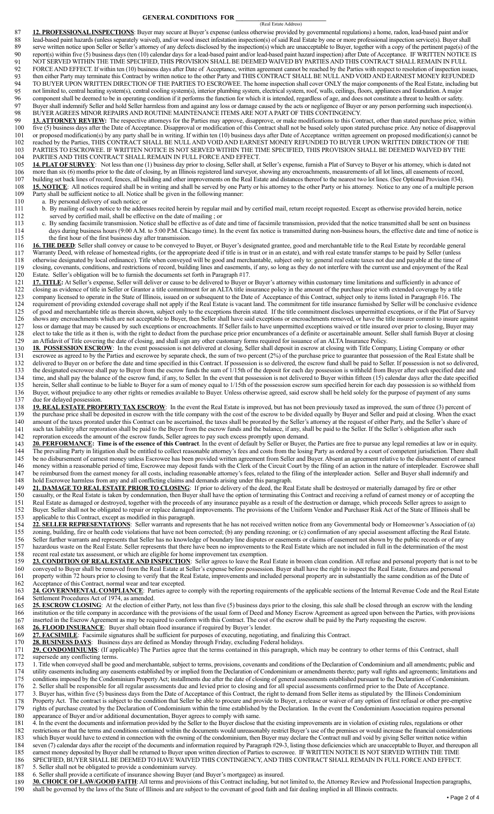**GENERAL CONDITIONS FOR** 

(Real Estate Address) **12. PROFESSIONAL INSPECTIONS**: Buyer may secure at Buyer's expense (unless otherwise provided by governmental regulations) a home, radon, lead-based paint and/or lead-based paint hazards (unless separately waived), and/or wood insect infestation inspection(s) of said Real Estate by one or more professional inspection service(s). Buyer shall serve written notice upon Seller or Seller's attorney of any defects disclosed by the inspection(s) which are unacceptable to Buyer, together with a copy of the pertinent page(s) of the report(s) within five (5) business days (ten (10) calendar days for a lead-based paint and/or lead-based paint hazard inspection) after Date of Acceptance. IF WRITTEN NOTICE IS NOT SERVED WITHIN THE TIME SPECIFIED, THIS PROVISION SHALL BE DEEMED WAIVED BY PARTIES AND THIS CONTRACT SHALL REMAIN IN FULL FORCE AND EFFECT. If within ten (10) business days after Date of Acceptance, written agreement cannot be reached by the Parties with respect to resolution of inspection issues, then either Party may terminate this Contract by written notice to the other Party and THIS CONTRACT SHALL BE NULLAND VOID AND EARNEST MONEY REFUNDED TO BUYER UPON WRITTEN DIRECTION OF THE PARTIES TO ESCROWEE. The home inspection shall cover ONLY the major components of the Real Estate, including but not limited to, central heating system(s), central cooling system(s), interior plumbing system, electrical system, roof, walls, ceilings, floors, appliances and foundation. A major component shall be deemed to be in operating condition if it performs the function for which it is intended, regardless of age, and does not constitute a threat to health or safety. Buyer shall indemnify Seller and hold Seller harmless from and against any loss or damage caused by the acts or negligence of Buyer or any person performing such inspection(s). BUYER AGREES MINOR REPAIRS AND ROUTINE MAINTENANCE ITEMS ARE NOTA PART OF THIS CONTINGENCY. **13. ATTORNEY REVIEW:** The respective attorneys for the Parties may approve, disapprove, or make modifications to this Contract, other than stated purchase price, within five (5) business days after the Date of Acceptance. Disapproval or modification of this Contract shall not be based solely upon stated purchase price. Any notice of disapproval or proposed modification(s) by any party shall be in writing. If within ten (10) business days after Date of Acceptance written agreement on proposed modification(s) cannot be reached by the Parties, THIS CONTRACT SHALL BE NULLAND VOID AND EARNEST MONEY REFUNDED TO BUYER UPON WRITTEN DIRECTION OF THE PARTIES TO ESCROWEE. IF WRITTEN NOTICE IS NOT SERVED WITHIN THE TIME SPECIFIED, THIS PROVISION SHALL BE DEEMED WAIVED BY THE PARTIES AND THIS CONTRACT SHALL REMAIN IN FULL FORCE AND EFFECT. **14. PLAT OF SURVEY**: Not less than one (1) business day prior to closing, Seller shall, at Seller's expense, furnish a Plat of Survey to Buyer or his attorney, which is dated not more than six (6) months prior to the date of closing, by an Illinois registered land surveyor, showing any encroachments, measurements of all lot lines, all easements of record, building set back lines of record, fences, all building and other improvements on the Real Estate and distances thereof to the nearest two lot lines. (See Optional Provision #34). 15. NOTICE: All notices required shall be in writing and shall be served by one Party or his attorney to the other Party or his attorney. Notice to any one of a multiple person Party shall be sufficient notice to all. Notice shall be given in the following manner: a. By personal delivery of such notice; or b. By mailing of such notice to the addresses recited herein by regular mail and by certified mail, return receipt requested. Except as otherwise provided herein, notice served by certified mail, shall be effective on the date of mailing ; or c. By sending facsimile transmission. Notice shall be effective as of date and time of facsimile transmission, provided that the notice transmitted shall be sent on business days during business hours (9:00 A.M. to 5:00 P.M. Chicago time). In the event fax notice is transmitted during non-business hours, the effective date and time of notice is the first hour of the first business day after transmission. 16. THE DEED: Seller shall convey or cause to be conveyed to Buyer, or Buyer's designated grantee, good and merchantable title to the Real Estate by recordable general Warranty Deed, with release of homestead rights, (or the appropriate deed if title is in trust or in an estate), and with real estate transfer stamps to be paid by Seller (unless otherwise designated by local ordinance). Title when conveyed will be good and merchantable, subject only to: general real estate taxes not due and payable at the time of closing, covenants, conditions, and restrictions of record, building lines and easements, if any, so long as they do not interfere with the current use and enjoyment of the Real Estate. Seller's obligation will be to furnish the documents set forth in Paragraph #17. **17. TITLE:** At Seller's expense, Seller will deliver or cause to be delivered to Buyer or Buyer's attorney within customary time limitations and sufficiently in advance of closing as evidence of title in Seller or Grantor a title commitment for an ALTA title insurance policy in the amount of the purchase price with extended coverage by a title company licensed to operate in the State of Illinois, issued on or subsequent to the Date of Acceptance of this Contract, subject only to items listed in Paragraph #16. The requirement of providing extended coverage shall not apply if the Real Estate is vacant land. The commitment for title insurance furnished by Seller will be conclusive evidence of good and merchantable title as therein shown, subject only to the exceptions therein stated. If the title commitment discloses unpermitted exceptions, or if the Plat of Survey shows any encroachments which are not acceptable to Buyer, then Seller shall have said exceptions or encroachments removed, or have the title insurer commit to insure against loss or damage that may be caused by such exceptions or encroachments. If Seller fails to have unpermitted exceptions waived or title insured over prior to closing, Buyer may elect to take the title as it then is, with the right to deduct from the purchase price prior encumbrances of a definite or ascertainable amount. Seller shall furnish Buyer at closing an Affidavit of Title covering the date of closing, and shall sign any other customary forms required for issuance of an ALTA Insurance Policy. 18. POSSESSION ESCROW: In the event possession is not delivered at closing, Seller shall deposit in escrow at closing with Title Company, Listing Company or other escrowee as agreed to by the Parties and escrowee by separate check, the sum of two percent (2%) of the purchase price to guarantee that possession of the Real Estate shall be delivered to Buyer on or before the date and time specified in this Contract. If possession is so delivered, the escrow fund shall be paid to Seller. If possession is not so delivered, the designated escrowee shall pay to Buyer from the escrow funds the sum of 1/15th of the deposit for each day possession is withheld from Buyer after such specified date and time, and shall pay the balance of the escrow fund, if any, to Seller. In the event that possession is not delivered to Buyer within fifteen (15) calendar days after the date specified herein, Seller shall continue to be liable to Buyer for a sum of money equal to 1/15th of the possession escrow sum specified herein for each day possession is so withheld from Buyer, without prejudice to any other rights or remedies available to Buyer. Unless otherwise agreed, said escrow shall be held solely for the purpose of payment of any sums due for delayed possession. 19. REAL ESTATE PROPERTY TAX ESCROW: In the event the Real Estate is improved, but has not been previously taxed as improved, the sum of three (3) percent of the purchase price shall be deposited in escrow with the title company with the cost of the escrow to be divided equally by Buyer and Seller and paid at closing. When the exact amount of the taxes prorated under this Contract can be ascertained, the taxes shall be prorated by the Seller's attorney at the request of either Party, and the Seller's share of such tax liability after reproration shall be paid to the Buyer from the escrow funds and the balance, if any, shall be paid to the Seller. If the Seller's obligation after such reproration exceeds the amount of the escrow funds, Seller agrees to pay such excess promptly upon demand. **20. PERFORMANCE: Time is of the essence of this Contract**. In the event of default by Seller or Buyer, the Parties are free to pursue any legal remedies at law or in equity. The prevailing Party in litigation shall be entitled to collect reasonable attorney's fees and costs from the losing Party as ordered by a court of competent jurisdiction. There shall be no disbursement of earnest money unless Escrowee has been provided written agreement from Seller and Buyer. Absent an agreement relative to the disbursement of earnest money within a reasonable period of time, Escrowee may deposit funds with the Clerk of the Circuit Court by the filing of an action in the nature of interpleader. Escrowee shall be reimbursed from the earnest money for all costs, including reasonable attorney's fees, related to the filing of the interpleader action. Seller and Buyer shall indemnify and hold Escrowee harmless from any and all conflicting claims and demands arising under this paragraph. 21. DAMAGE TO REAL ESTATE PRIOR TO CLOSING: If prior to delivery of the deed, the Real Estate shall be destroyed or materially damaged by fire or other casualty, or the Real Estate is taken by condemnation, then Buyer shall have the option of terminating this Contract and receiving a refund of earnest money or of accepting the Real Estate as damaged or destroyed, together with the proceeds of any insurance payable as a result of the destruction or damage, which proceeds Seller agrees to assign to Buyer. Seller shall not be obligated to repair or replace damaged improvements. The provisions of the Uniform Vendor and Purchaser Risk Act of the State of Illinois shall be applicable to this Contract, except as modified in this paragraph. 22. SELLER REPRESENTATIONS: Seller warrants and represents that he has not received written notice from any Governmental body or Homeowner's Association of (a) zoning, building, fire or health code violations that have not been corrected; (b) any pending rezoning; or (c) confirmation of any special assessment affecting the Real Estate. Seller further warrants and represents that Seller has no knowledge of boundary line disputes or easements or claims of easement not shown by the public records or of any hazardous waste on the Real Estate. Seller represents that there have been no improvements to the Real Estate which are not included in full in the determination of the most recent real estate tax assessment, or which are eligible for home improvement tax exemption. 23. CONDITION OF REAL ESTATE AND INSPECTION: Seller agrees to leave the Real Estate in broom clean condition. All refuse and personal property that is not to be conveyed to Buyer shall be removed from the Real Estate at Seller's expense before possession. Buyer shall have the right to inspect the Real Estate, fixtures and personal property within 72 hours prior to closing to verify that the Real Estate, improvements and included personal property are in substantially the same condition as of the Date of Acceptance of this Contract, normal wear and tear excepted. 24. GOVERNMENTAL COMPLIANCE: Parties agree to comply with the reporting requirements of the applicable sections of the Internal Revenue Code and the Real Estate Settlement Procedures Act of 1974, as amended. 25. ESCROW CLOSING: At the election of either Party, not less than five (5) business days prior to the closing, this sale shall be closed through an escrow with the lending institution or the title company in accordance with the provisions of the usual form of Deed and Money Escrow Agreement as agreed upon between the Parties, with provisions inserted in the Escrow Agreement as may be required to conform with this Contract. The cost of the escrow shall be paid by the Party requesting the escrow. **26. FLOOD INSURANCE**: Buyer shall obtain flood insurance if required by Buyer's lender. **27. FACSIMILE**: Facsimile signatures shall be sufficient for purposes of executing, negotiating, and finalizing this Contract. **28. BUSINESS DAYS**: Business days are defined as Monday through Friday, excluding Federal holidays. 29. CONDOMINIUMS: (If applicable) The Parties agree that the terms contained in this paragraph, which may be contrary to other terms of this Contract, shall supersede any conflicting terms. 1. Title when conveyed shall be good and merchantable, subject to terms, provisions, covenants and conditions of the Declaration of Condominium and all amendments; public and utility easements including any easements established by or implied from the Declaration of Condominium or amendments thereto; party wall rights and agreements; limitations and conditions imposed by the Condominium Property Act; installments due after the date of closing of general assessments established pursuant to the Declaration of Condominium. 2. Seller shall be responsible for all regular assessments due and levied prior to closing and for all special assessments confirmed prior to the Date of Acceptance. 3. Buyer has, within five (5) business days from the Date of Acceptance of this Contract, the right to demand from Seller items as stipulated by the Illinois Condominium Property Act. The contract is subject to the condition that Seller be able to procure and provide to Buyer, a release or waiver of any option of first refusal or other pre-emptive rights of purchase created by the Declaration of Condominium within the time established by the Declaration. In the event the Condominium Association requires personal appearance of Buyer and/or additional documentation, Buyer agrees to comply with same. 4. In the event the documents and information provided by the Seller to the Buyer disclose that the existing improvements are in violation of existing rules, regulations or other restrictions or that the terms and conditions contained within the documents would unreasonably restrict Buyer's use of the premises or would increase the financial considerations which Buyer would have to extend in connection with the owning of the condominium, then Buyer may declare the Contract null and void by giving Seller written notice within seven (7) calendar days after the receipt of the documents and information required by Paragraph #29-3, listing those deficiencies which are unacceptable to Buyer, and thereupon all earnest money deposited by Buyer shall be returned to Buyer upon written direction of Parties to escrowee. IF WRITTEN NOTICE IS NOT SERVED WITHIN THE TIME SPECIFIED, BUYER SHALL BE DEEMED TO HAVE WAIVED THIS CONTINGENCY, AND THIS CONTRACT SHALL REMAIN IN FULL FORCE AND EFFECT. 5. Seller shall not be obligated to provide a condominium survey. 87 88 89 90 91 92 93 94 95 96 97 98 99 100 101 102 103 104 105 106 107 108 109 110 111 112 113 114 115 116 117 118 119 120 121 122 123 124 125 126 127 128 129 130 131 132 133 134 135 136 137 138 139 140 141 142 143 144 145 146 147 148 149 150 151 152 153 154 155 156 157 158 159 160 161 162 163 164 165 166 167 168 169 170 171 172 173 174 175 176 177 178 179 180 181 182 183 184 185 186 187

6. Seller shall provide a certificate of insurance showing Buyer (and Buyer's mortgagee) as insured. 188

**30. CHOICE OF LAW/GOOD FAITH**: All terms and provisions of this Contract including, but not limited to, the Attorney Review and Professional Inspection paragraphs, shall be governed by the laws of the State of Illinois and are subject to the covenant of good faith and fair dealing implied in all Illinois contracts. 189 190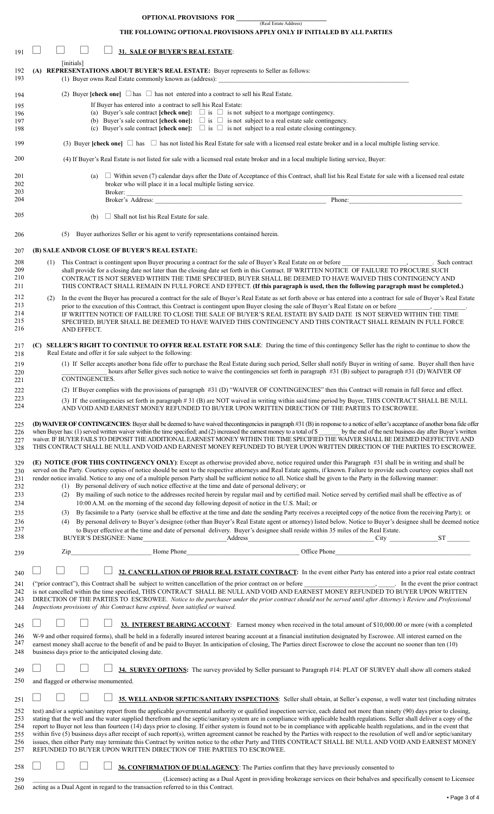**OPTIONAL PROVISIONS FOR \_\_** 

## **THE FOLLOWING OPTIONAL PROVISIONS APPLY ONLY IF INITIALED BY ALL PARTIES**

(Real Estate Address)

| 191                             |     |                                      | 31. SALE OF BUYER'S REAL ESTATE:                                                                                                    |                                                                                                                                                                                                                                                                                                                                                                                                                                                                                                                                                                                                                                                 |        |  |
|---------------------------------|-----|--------------------------------------|-------------------------------------------------------------------------------------------------------------------------------------|-------------------------------------------------------------------------------------------------------------------------------------------------------------------------------------------------------------------------------------------------------------------------------------------------------------------------------------------------------------------------------------------------------------------------------------------------------------------------------------------------------------------------------------------------------------------------------------------------------------------------------------------------|--------|--|
| 192<br>193                      |     | [initials]                           |                                                                                                                                     | (A) REPRESENTATIONS ABOUT BUYER'S REAL ESTATE: Buyer represents to Seller as follows:<br>(1) Buyer owns Real Estate commonly known as (address):                                                                                                                                                                                                                                                                                                                                                                                                                                                                                                |        |  |
|                                 |     |                                      |                                                                                                                                     | (2) Buyer [check one] $\Box$ has $\Box$ has not entered into a contract to sell his Real Estate.                                                                                                                                                                                                                                                                                                                                                                                                                                                                                                                                                |        |  |
| 194                             |     |                                      | If Buyer has entered into a contract to sell his Real Estate:                                                                       |                                                                                                                                                                                                                                                                                                                                                                                                                                                                                                                                                                                                                                                 |        |  |
| 195<br>196                      |     |                                      |                                                                                                                                     | (a) Buyer's sale contract [check one]: $\Box$ is $\Box$ is not subject to a mortgage contingency.                                                                                                                                                                                                                                                                                                                                                                                                                                                                                                                                               |        |  |
| 197                             |     |                                      |                                                                                                                                     | (b) Buyer's sale contract [check one]: $\Box$ is $\Box$ is not subject to a real estate sale contingency.                                                                                                                                                                                                                                                                                                                                                                                                                                                                                                                                       |        |  |
| 198                             |     |                                      |                                                                                                                                     | (c) Buyer's sale contract [check one]: $\Box$ is $\Box$ is not subject to a real estate closing contingency.                                                                                                                                                                                                                                                                                                                                                                                                                                                                                                                                    |        |  |
| 199                             |     |                                      |                                                                                                                                     | (3) Buyer [check one] $\Box$ has $\Box$ has not listed his Real Estate for sale with a licensed real estate broker and in a local multiple listing service.                                                                                                                                                                                                                                                                                                                                                                                                                                                                                     |        |  |
| 200                             |     |                                      |                                                                                                                                     | (4) If Buyer's Real Estate is not listed for sale with a licensed real estate broker and in a local multiple listing service, Buyer:                                                                                                                                                                                                                                                                                                                                                                                                                                                                                                            |        |  |
| 201<br>202<br>203               |     | (a)                                  | broker who will place it in a local multiple listing service.<br>Broker:                                                            | $\Box$ Within seven (7) calendar days after the Date of Acceptance of this Contract, shall list his Real Estate for sale with a licensed real estate                                                                                                                                                                                                                                                                                                                                                                                                                                                                                            |        |  |
| 204<br>205                      |     |                                      |                                                                                                                                     | Broker's Address:                                                                                                                                                                                                                                                                                                                                                                                                                                                                                                                                                                                                                               | Phone: |  |
| 206                             |     | (b)<br>(5)                           | $\Box$ Shall not list his Real Estate for sale.<br>Buyer authorizes Seller or his agent to verify representations contained herein. |                                                                                                                                                                                                                                                                                                                                                                                                                                                                                                                                                                                                                                                 |        |  |
| 207                             |     |                                      | (B) SALE AND/OR CLOSE OF BUYER'S REAL ESTATE:                                                                                       |                                                                                                                                                                                                                                                                                                                                                                                                                                                                                                                                                                                                                                                 |        |  |
|                                 |     |                                      |                                                                                                                                     | This Contract is contingent upon Buyer procuring a contract for the sale of Buyer's Real Estate on or before Supermann Supermann Such contract                                                                                                                                                                                                                                                                                                                                                                                                                                                                                                  |        |  |
| 208<br>209<br>210<br>211        | (1) |                                      |                                                                                                                                     | shall provide for a closing date not later than the closing date set forth in this Contract. IF WRITTEN NOTICE OF FAILURE TO PROCURE SUCH<br>CONTRACT IS NOT SERVED WITHIN THE TIME SPECIFIED, BUYER SHALL BE DEEMED TO HAVE WAIVED THIS CONTINGENCY AND<br>THIS CONTRACT SHALL REMAIN IN FULL FORCE AND EFFECT. (If this paragraph is used, then the following paragraph must be completed.)                                                                                                                                                                                                                                                   |        |  |
| 212<br>213<br>214<br>215<br>216 | (2) | AND EFFECT.                          |                                                                                                                                     | In the event the Buyer has procured a contract for the sale of Buyer's Real Estate as set forth above or has entered into a contract for sale of Buyer's Real Estate<br>prior to the execution of this Contract, this Contract is contingent upon Buyer closing the sale of Buyer's Real Estate on or before<br>IF WRITTEN NOTICE OF FAILURE TO CLOSE THE SALE OF BUYER'S REAL ESTATE BY SAID DATE IS NOT SERVED WITHIN THE TIME<br>SPECIFIED, BUYER SHALL BE DEEMED TO HAVE WAIVED THIS CONTINGENCY AND THIS CONTRACT SHALL REMAIN IN FULL FORCE                                                                                               |        |  |
| 217                             |     |                                      | Real Estate and offer it for sale subject to the following:                                                                         | (C) SELLER'S RIGHT TO CONTINUE TO OFFER REAL ESTATE FOR SALE: During the time of this contingency Seller has the right to continue to show the                                                                                                                                                                                                                                                                                                                                                                                                                                                                                                  |        |  |
| 218<br>219                      |     |                                      |                                                                                                                                     | (1) If Seller accepts another bona fide offer to purchase the Real Estate during such period, Seller shall notify Buyer in writing of same. Buyer shall then have                                                                                                                                                                                                                                                                                                                                                                                                                                                                               |        |  |
| 220                             |     |                                      |                                                                                                                                     | hours after Seller gives such notice to waive the contingencies set forth in paragraph #31 (B) subject to paragraph #31 (D) WAIVER OF                                                                                                                                                                                                                                                                                                                                                                                                                                                                                                           |        |  |
| 221                             |     | CONTINGENCIES.                       |                                                                                                                                     |                                                                                                                                                                                                                                                                                                                                                                                                                                                                                                                                                                                                                                                 |        |  |
| 222                             |     |                                      |                                                                                                                                     | (2) If Buyer complies with the provisions of paragraph #31 (D) "WAIVER OF CONTINGENCIES" then this Contract will remain in full force and effect.                                                                                                                                                                                                                                                                                                                                                                                                                                                                                               |        |  |
| 223<br>224                      |     |                                      |                                                                                                                                     | (3) If the contingencies set forth in paragraph # 31 (B) are NOT waived in writing within said time period by Buyer, THIS CONTRACT SHALL BE NULL<br>AND VOID AND EARNEST MONEY REFUNDED TO BUYER UPON WRITTEN DIRECTION OF THE PARTIES TO ESCROWEE.                                                                                                                                                                                                                                                                                                                                                                                             |        |  |
| 225<br>226<br>227<br>328        |     |                                      |                                                                                                                                     | (D) WAIVER OF CONTINGENCIES: Buyer shall be deemed to have waived the contingencies in paragraph #31 (B) in response to a notice of seller's acceptance of another bona fide offer<br>when Buyer has: (1) served written waiver within the time specified; and (2) increased the earnest money to a total of \$ by the end of the next business day after Buyer's written<br>waiver. IF BUYER FAILS TO DEPOSIT THE ADDITIONAL EARNEST MONEY WITHIN THE TIME SPECIFIED THE WAIVER SHALL BE DEEMED INEFFECTIVE AND<br>THIS CONTRACT SHALL BE NULL AND VOID AND EARNEST MONEY REFUNDED TO BUYER UPON WRITTEN DIRECTION OF THE PARTIES TO ESCROWEE. |        |  |
| 329<br>230<br>231<br>232        |     |                                      |                                                                                                                                     | (E) NOTICE (FOR THIS CONTINGENCY ONLY): Except as otherwise provided above, notice required under this Paragraph #31 shall be in writing and shall be<br>served on the Party. Courtesy copies of notice should be sent to the respective attorneys and Real Estate agents, if known. Failure to provide such courtesy copies shall not<br>render notice invalid. Notice to any one of a multiple person Party shall be sufficient notice to all. Notice shall be given to the Party in the following manner:<br>(1) By personal delivery of such notice effective at the time and date of personal delivery; or                                 |        |  |
| 233                             |     | (2)                                  |                                                                                                                                     | By mailing of such notice to the addresses recited herein by regular mail and by certified mail. Notice served by certified mail shall be effective as of                                                                                                                                                                                                                                                                                                                                                                                                                                                                                       |        |  |
| 234                             |     |                                      |                                                                                                                                     | 10:00 A.M. on the morning of the second day following deposit of notice in the U.S. Mail; or                                                                                                                                                                                                                                                                                                                                                                                                                                                                                                                                                    |        |  |
| 235                             |     | (3)                                  |                                                                                                                                     | By facsimile to a Party (service shall be effective at the time and date the sending Party receives a receipted copy of the notice from the receiving Party); or                                                                                                                                                                                                                                                                                                                                                                                                                                                                                |        |  |
| 236                             |     | (4)                                  |                                                                                                                                     | By personal delivery to Buyer's designee (other than Buyer's Real Estate agent or attorney) listed below. Notice to Buyer's designee shall be deemed notice                                                                                                                                                                                                                                                                                                                                                                                                                                                                                     |        |  |
| 237<br>238                      |     |                                      |                                                                                                                                     | to Buyer effective at the time and date of personal delivery. Buyer's designee shall reside within 35 miles of the Real Estate.                                                                                                                                                                                                                                                                                                                                                                                                                                                                                                                 |        |  |
|                                 |     |                                      | BUYER'S DESIGNEE: Name                                                                                                              | Address                                                                                                                                                                                                                                                                                                                                                                                                                                                                                                                                                                                                                                         |        |  |
| 239                             |     | Zip                                  |                                                                                                                                     | Home Phone Contract Contract Contract Contract Contract Contract Contract Contract Contract Contract Contract Contract Contract Contract Contract Contract Contract Contract Contract Contract Contract Contract Contract Cont                                                                                                                                                                                                                                                                                                                                                                                                                  |        |  |
| 240                             |     |                                      |                                                                                                                                     | 32. CANCELLATION OF PRIOR REAL ESTATE CONTRACT: In the event either Party has entered into a prior real estate contract                                                                                                                                                                                                                                                                                                                                                                                                                                                                                                                         |        |  |
| 241                             |     |                                      |                                                                                                                                     |                                                                                                                                                                                                                                                                                                                                                                                                                                                                                                                                                                                                                                                 |        |  |
| 242                             |     |                                      |                                                                                                                                     | is not cancelled within the time specified, THIS CONTRACT SHALL BE NULL AND VOID AND EARNEST MONEY REFUNDED TO BUYER UPON WRITTEN                                                                                                                                                                                                                                                                                                                                                                                                                                                                                                               |        |  |
| 243<br>244                      |     |                                      | Inspections provisions of this Contract have expired, been satisfied or waived.                                                     | DIRECTION OF THE PARTIES TO ESCROWEE. Notice to the purchaser under the prior contract should not be served until after Attorney's Review and Professional                                                                                                                                                                                                                                                                                                                                                                                                                                                                                      |        |  |
| 245                             |     |                                      |                                                                                                                                     | 33. INTEREST BEARING ACCOUNT: Earnest money when received in the total amount of \$10,000.00 or more (with a completed                                                                                                                                                                                                                                                                                                                                                                                                                                                                                                                          |        |  |
| 246                             |     |                                      |                                                                                                                                     | W-9 and other required forms), shall be held in a federally insured interest bearing account at a financial institution designated by Escrowee. All interest earned on the                                                                                                                                                                                                                                                                                                                                                                                                                                                                      |        |  |
| 247                             |     |                                      |                                                                                                                                     | earnest money shall accrue to the benefit of and be paid to Buyer. In anticipation of closing, The Parties direct Escrowee to close the account no sooner than ten (10)                                                                                                                                                                                                                                                                                                                                                                                                                                                                         |        |  |
| 248                             |     |                                      | business days prior to the anticipated closing date.                                                                                |                                                                                                                                                                                                                                                                                                                                                                                                                                                                                                                                                                                                                                                 |        |  |
| 249<br>250                      |     | and flagged or otherwise monumented. |                                                                                                                                     | 34. SURVEY OPTIONS: The survey provided by Seller pursuant to Paragraph #14: PLAT OF SURVEY shall show all corners staked                                                                                                                                                                                                                                                                                                                                                                                                                                                                                                                       |        |  |
|                                 |     |                                      |                                                                                                                                     |                                                                                                                                                                                                                                                                                                                                                                                                                                                                                                                                                                                                                                                 |        |  |
| 251                             |     |                                      |                                                                                                                                     | 35. WELLAND/OR SEPTIC/SANITARY INSPECTIONS: Seller shall obtain, at Seller's expense, a well water test (including nitrates                                                                                                                                                                                                                                                                                                                                                                                                                                                                                                                     |        |  |
| 252                             |     |                                      |                                                                                                                                     | test) and/or a septic/sanitary report from the applicable governmental authority or qualified inspection service, each dated not more than ninety (90) days prior to closing,<br>stating that the well and the water supplied therefrom and the septic/sanitary system are in compliance with applicable health regulations. Seller shall deliver a copy of the                                                                                                                                                                                                                                                                                 |        |  |
| 253<br>254                      |     |                                      |                                                                                                                                     | report to Buyer not less than fourteen (14) days prior to closing. If either system is found not to be in compliance with applicable health regulations, and in the event that                                                                                                                                                                                                                                                                                                                                                                                                                                                                  |        |  |
| 255                             |     |                                      |                                                                                                                                     | within five (5) business days after receipt of such report(s), written agreement cannot be reached by the Parties with respect to the resolution of well and/or septic/sanitary                                                                                                                                                                                                                                                                                                                                                                                                                                                                 |        |  |
| 256<br>257                      |     |                                      |                                                                                                                                     | issues, then either Party may terminate this Contract by written notice to the other Party and THIS CONTRACT SHALL BE NULL AND VOID AND EARNEST MONEY<br>REFUNDED TO BUYER UPON WRITTEN DIRECTION OF THE PARTIES TO ESCROWEE.                                                                                                                                                                                                                                                                                                                                                                                                                   |        |  |
| 258                             |     |                                      |                                                                                                                                     | 36. CONFIRMATION OF DUAL AGENCY: The Parties confirm that they have previously consented to                                                                                                                                                                                                                                                                                                                                                                                                                                                                                                                                                     |        |  |

\_\_\_\_\_\_\_\_\_\_\_\_\_\_\_\_\_\_\_\_\_\_\_\_\_\_\_\_\_\_\_\_\_\_\_\_\_\_\_\_ (Licensee) acting as a Dual Agent in providing brokerage services on their behalves and specifically consent to Licensee acting as a Dual Agent in regard to the transaction referred to in this Contract. 259 260